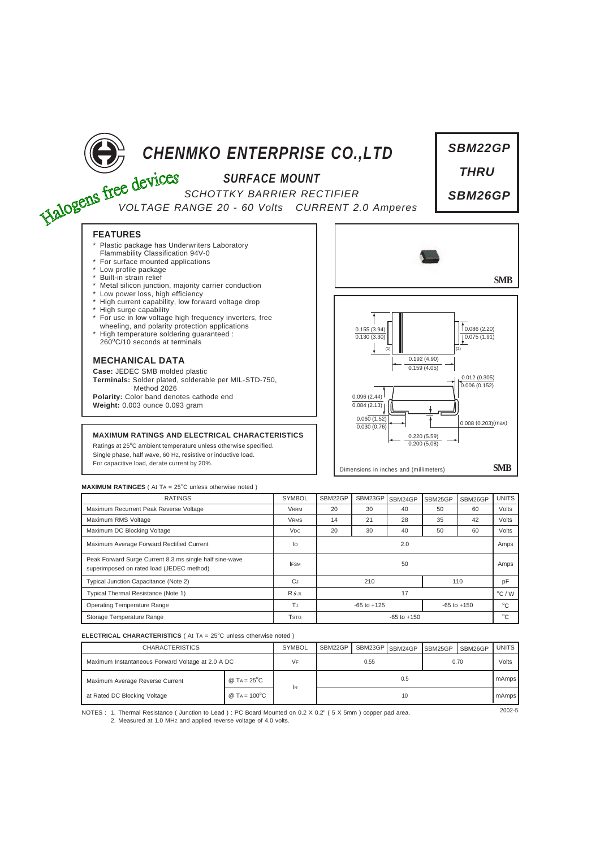

*SBM22GP*

## **MAXIMUM RATINGES** ( At TA = 25°C unless otherwise noted )

| <b>RATINGS</b>                                                                                       | <b>SYMBOL</b>         | SBM22GP                            | SBM23GP | SBM24GP | SBM25GP      | SBM26GP | <b>UNITS</b>     |
|------------------------------------------------------------------------------------------------------|-----------------------|------------------------------------|---------|---------|--------------|---------|------------------|
| Maximum Recurrent Peak Reverse Voltage                                                               | <b>VRRM</b>           | 20                                 | 30      | 40      | 50           | 60      | Volts            |
| Maximum RMS Voltage                                                                                  | <b>VRMS</b>           | 14                                 | 21      | 28      | 35           | 42      | Volts            |
| Maximum DC Blocking Voltage                                                                          | <b>V<sub>DC</sub></b> | 20                                 | 30      | 40      | 50           | 60      | Volts            |
| Maximum Average Forward Rectified Current                                                            | lo                    | 2.0                                |         |         |              |         | Amps             |
| Peak Forward Surge Current 8.3 ms single half sine-wave<br>superimposed on rated load (JEDEC method) | <b>IFSM</b>           | 50                                 |         |         |              |         | Amps             |
| Typical Junction Capacitance (Note 2)                                                                | <b>CJ</b>             | 210                                |         |         | 110          |         | pF               |
| Typical Thermal Resistance (Note 1)                                                                  | $R \theta$ JL         | 17                                 |         |         |              |         | $^{\circ}$ C / W |
| <b>Operating Temperature Range</b>                                                                   | TJ                    | $-65$ to $+125$<br>$-65$ to $+150$ |         |         | $^{\circ}$ C |         |                  |
| Storage Temperature Range                                                                            | <b>TSTG</b>           | $-65$ to $+150$                    |         |         |              |         | $^{\circ}$ C     |

## **ELECTRICAL CHARACTERISTICS** ( At TA = 25°C unless otherwise noted )

| <b>CHARACTERISTICS</b>                            |                                   | <b>SYMBOL</b> | SBM22GP |  | SBM23GP SBM24GP | SBM25GP | SBM26GP | <b>UNITS</b> |
|---------------------------------------------------|-----------------------------------|---------------|---------|--|-----------------|---------|---------|--------------|
| Maximum Instantaneous Forward Voltage at 2.0 A DC |                                   | VF            | 0.55    |  |                 | 0.70    |         | Volts        |
| Maximum Average Reverse Current                   | @ T <sub>A</sub> = $25^{\circ}$ C | İR            | 0.5     |  |                 |         |         | mAmps        |
| at Rated DC Blocking Voltage                      | @ TA = $100^{\circ}$ C            |               | 10      |  |                 |         |         | mAmps        |

NOTES : 2002-5 1. Thermal Resistance ( Junction to Lead ) : PC Board Mounted on 0.2 X 0.2" ( 5 X 5mm ) copper pad area. 2. Measured at 1.0 MHz and applied reverse voltage of 4.0 volts.